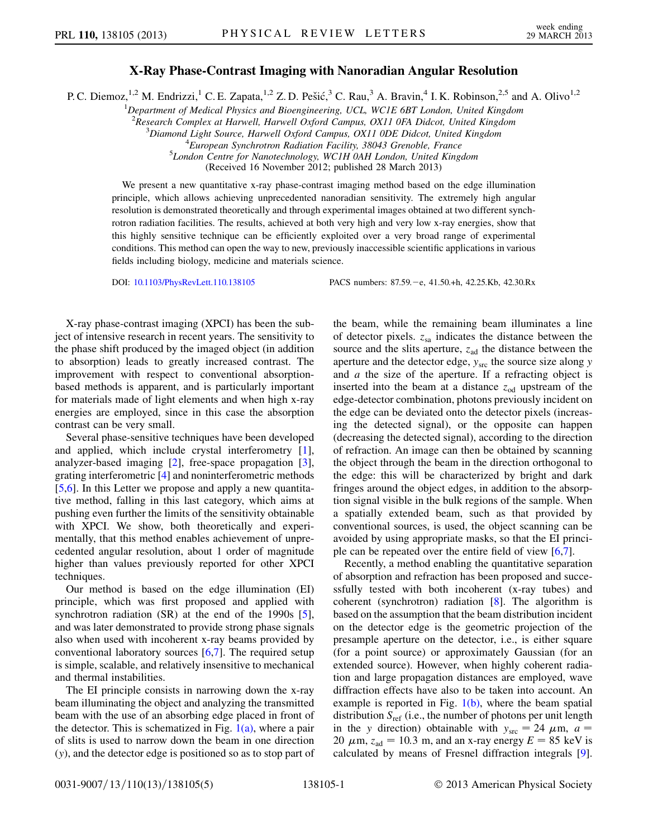## X-Ray Phase-Contrast Imaging with Nanoradian Angular Resolution

P. C. Diemoz,<sup>1,2</sup> M. Endrizzi,<sup>1</sup> C. E. Zapata,<sup>1,2</sup> Z. D. Pešić,<sup>3</sup> C. Rau,<sup>3</sup> A. Bravin,<sup>4</sup> I. K. Robinson,<sup>2,5</sup> and A. Olivo<sup>1,2</sup>

<sup>1</sup>Department of Medical Physics and Bioengineering, UCL, WC1E 6BT London, United Kingdom

<sup>2</sup> Research Complex at Harwell, Harwell Oxford Campus, OX11 0FA Didcot, United Kingdom<br><sup>3</sup> Diamond Light Source, Hanyell Oxford Campus, OX11 0DE Didcot, United Kingdom

 ${}^{3}$ Diamond Light Source, Harwell Oxford Campus, OX11 0DE Didcot, United Kingdom

 ${}^{4}$ European Synchrotron Radiation Facility, 38043 Grenoble, France

<sup>5</sup>London Centre for Nanotechnology, WC1H 0AH London, United Kingdom

(Received 16 November 2012; published 28 March 2013)

We present a new quantitative x-ray phase-contrast imaging method based on the edge illumination principle, which allows achieving unprecedented nanoradian sensitivity. The extremely high angular resolution is demonstrated theoretically and through experimental images obtained at two different synchrotron radiation facilities. The results, achieved at both very high and very low x-ray energies, show that this highly sensitive technique can be efficiently exploited over a very broad range of experimental conditions. This method can open the way to new, previously inaccessible scientific applications in various fields including biology, medicine and materials science.

DOI: [10.1103/PhysRevLett.110.138105](http://dx.doi.org/10.1103/PhysRevLett.110.138105) PACS numbers: 87.59.e, 41.50.+h, 42.25.Kb, 42.30.Rx

X-ray phase-contrast imaging (XPCI) has been the subject of intensive research in recent years. The sensitivity to the phase shift produced by the imaged object (in addition to absorption) leads to greatly increased contrast. The improvement with respect to conventional absorptionbased methods is apparent, and is particularly important for materials made of light elements and when high x-ray energies are employed, since in this case the absorption contrast can be very small.

Several phase-sensitive techniques have been developed and applied, which include crystal interferometry [[1\]](#page-4-0), analyzer-based imaging [[2\]](#page-4-1), free-space propagation [[3\]](#page-4-2), grating interferometric [[4\]](#page-4-3) and noninterferometric methods [\[5,](#page-4-4)[6](#page-4-5)]. In this Letter we propose and apply a new quantitative method, falling in this last category, which aims at pushing even further the limits of the sensitivity obtainable with XPCI. We show, both theoretically and experimentally, that this method enables achievement of unprecedented angular resolution, about 1 order of magnitude higher than values previously reported for other XPCI techniques.

Our method is based on the edge illumination (EI) principle, which was first proposed and applied with synchrotron radiation (SR) at the end of the 1990s [[5\]](#page-4-4), and was later demonstrated to provide strong phase signals also when used with incoherent x-ray beams provided by conventional laboratory sources  $[6,7]$  $[6,7]$  $[6,7]$  $[6,7]$ . The required setup is simple, scalable, and relatively insensitive to mechanical and thermal instabilities.

The EI principle consists in narrowing down the x-ray beam illuminating the object and analyzing the transmitted beam with the use of an absorbing edge placed in front of the detector. This is schematized in Fig.  $1(a)$ , where a pair of slits is used to narrow down the beam in one direction (y), and the detector edge is positioned so as to stop part of the beam, while the remaining beam illuminates a line of detector pixels.  $z_{sa}$  indicates the distance between the source and the slits aperture,  $z_{ad}$  the distance between the aperture and the detector edge,  $y_{\text{src}}$  the source size along  $y$ and  $a$  the size of the aperture. If a refracting object is inserted into the beam at a distance  $z_{od}$  upstream of the edge-detector combination, photons previously incident on the edge can be deviated onto the detector pixels (increasing the detected signal), or the opposite can happen (decreasing the detected signal), according to the direction of refraction. An image can then be obtained by scanning the object through the beam in the direction orthogonal to the edge: this will be characterized by bright and dark fringes around the object edges, in addition to the absorption signal visible in the bulk regions of the sample. When a spatially extended beam, such as that provided by conventional sources, is used, the object scanning can be avoided by using appropriate masks, so that the EI principle can be repeated over the entire field of view [\[6,](#page-4-5)[7](#page-4-6)].

Recently, a method enabling the quantitative separation of absorption and refraction has been proposed and successfully tested with both incoherent (x-ray tubes) and coherent (synchrotron) radiation  $[8]$  $[8]$ . The algorithm is based on the assumption that the beam distribution incident on the detector edge is the geometric projection of the presample aperture on the detector, i.e., is either square (for a point source) or approximately Gaussian (for an extended source). However, when highly coherent radiation and large propagation distances are employed, wave diffraction effects have also to be taken into account. An example is reported in Fig.  $1(b)$ , where the beam spatial distribution  $S_{ref}$  (i.e., the number of photons per unit length in the y direction) obtainable with  $y_{\text{src}} = 24 \mu \text{m}$ ,  $a =$ 20  $\mu$ m,  $z_{ad}$  = 10.3 m, and an x-ray energy  $E = 85$  keV is calculated by means of Fresnel diffraction integrals [[9\]](#page-4-8).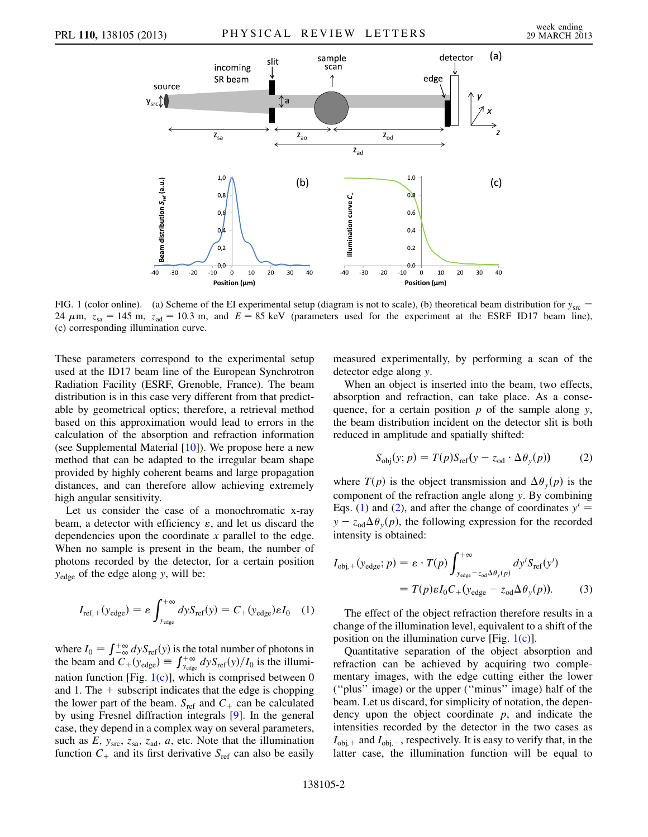

<span id="page-1-0"></span>FIG. 1 (color online). (a) Scheme of the EI experimental setup (diagram is not to scale), (b) theoretical beam distribution for  $y_{\text{src}} =$ 24  $\mu$ m,  $z_{sa}$  = 145 m,  $z_{ad}$  = 10.3 m, and  $E = 85$  keV (parameters used for the experiment at the ESRF ID17 beam line), (c) corresponding illumination curve.

These parameters correspond to the experimental setup used at the ID17 beam line of the European Synchrotron Radiation Facility (ESRF, Grenoble, France). The beam distribution is in this case very different from that predictable by geometrical optics; therefore, a retrieval method based on this approximation would lead to errors in the calculation of the absorption and refraction information (see Supplemental Material [[10](#page-4-9)]). We propose here a new method that can be adapted to the irregular beam shape provided by highly coherent beams and large propagation distances, and can therefore allow achieving extremely high angular sensitivity.

Let us consider the case of a monochromatic x-ray beam, a detector with efficiency  $\varepsilon$ , and let us discard the dependencies upon the coordinate x parallel to the edge. When no sample is present in the beam, the number of photons recorded by the detector, for a certain position  $y_{\text{edge}}$  of the edge along y, will be:

<span id="page-1-1"></span>
$$
I_{\rm ref,+}(y_{\rm edge}) = \varepsilon \int_{y_{\rm edge}}^{+\infty} dy S_{\rm ref}(y) = C_{+}(y_{\rm edge}) \varepsilon I_0 \quad (1)
$$

where  $I_0 = \int_{-\infty}^{+\infty} dy S_{ref}(y)$  is the total number of photons in the beam and  $C_{+}(y_{\text{edge}}) \equiv \int_{y_{\text{edge}}}^{+\infty} dy S_{\text{ref}}(y)/I_0$  is the illumination function [Fig.  $1(c)$ ], which is comprised between 0 and 1. The  $+$  subscript indicates that the edge is chopping the lower part of the beam.  $S_{ref}$  and  $C_{+}$  can be calculated by using Fresnel diffraction integrals [[9\]](#page-4-8). In the general case, they depend in a complex way on several parameters, such as E,  $y_{\text{src}}$ ,  $z_{\text{sa}}$ ,  $z_{\text{ad}}$ ,  $a$ , etc. Note that the illumination function  $C_+$  and its first derivative  $S_{ref}$  can also be easily

measured experimentally, by performing a scan of the detector edge along y.

When an object is inserted into the beam, two effects, absorption and refraction, can take place. As a consequence, for a certain position  $p$  of the sample along  $y$ , the beam distribution incident on the detector slit is both reduced in amplitude and spatially shifted:

$$
S_{\text{obj}}(y; p) = T(p)S_{\text{ref}}(y - z_{\text{od}} \cdot \Delta \theta_y(p))
$$
 (2)

<span id="page-1-2"></span>where  $T(p)$  is the object transmission and  $\Delta\theta_y(p)$  is the component of the refraction angle along y. By combining Eqs. ([1](#page-1-1)) and [\(2\)](#page-1-2), and after the change of coordinates  $y' =$  $y - z_{od} \Delta \theta_y(p)$ , the following expression for the recorded intensity is obtained:

$$
I_{\text{obj},+}(y_{\text{edge}}; p) = \varepsilon \cdot T(p) \int_{y_{\text{edge}}-z_{\text{odd}} \Delta \theta_{y}(p)}^{+\infty} dy' S_{\text{ref}}(y')
$$
  
=  $T(p) \varepsilon I_0 C_+(y_{\text{edge}} - z_{\text{odd}} \Delta \theta_{y}(p)).$  (3)

The effect of the object refraction therefore results in a change of the illumination level, equivalent to a shift of the position on the illumination curve [Fig.  $1(c)$ ].

Quantitative separation of the object absorption and refraction can be achieved by acquiring two complementary images, with the edge cutting either the lower (''plus'' image) or the upper (''minus'' image) half of the beam. Let us discard, for simplicity of notation, the dependency upon the object coordinate  $p$ , and indicate the intensities recorded by the detector in the two cases as  $I_{\text{obj},+}$  and  $I_{\text{obj},-}$ , respectively. It is easy to verify that, in the latter case, the illumination function will be equal to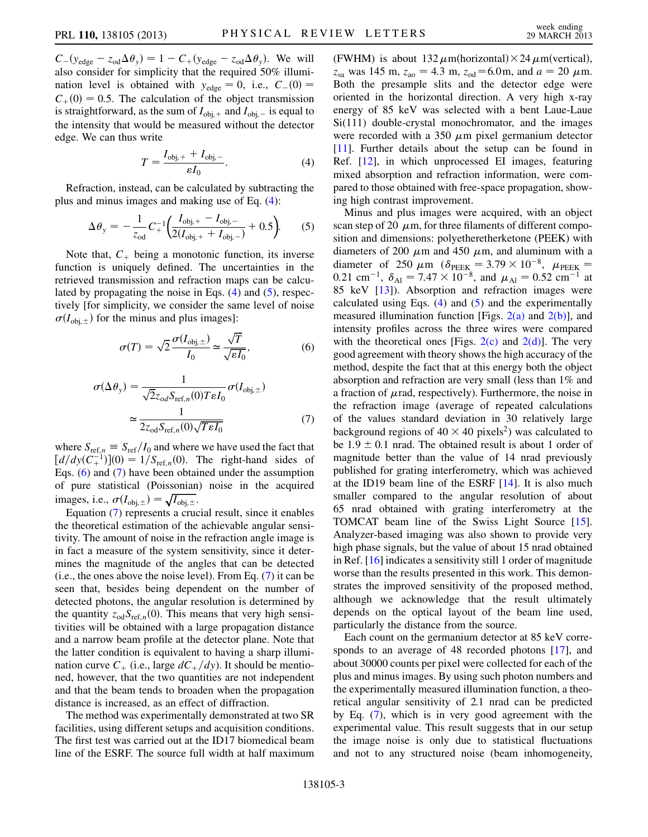$C - (y_{edge} - z_{od}\Delta\theta_y) = 1 - C + (y_{edge} - z_{od}\Delta\theta_y)$ . We will also consider for simplicity that the required 50% illumination level is obtained with  $y_{edge} = 0$ , i.e.,  $C_-(0) =$  $C_{+}(0) = 0.5$ . The calculation of the object transmission is straightforward, as the sum of  $I_{obj,+}$  and  $I_{obj,-}$  is equal to the intensity that would be measured without the detector edge. We can thus write

$$
T = \frac{I_{\text{obj},+} + I_{\text{obj},-}}{\varepsilon I_0}.\tag{4}
$$

<span id="page-2-1"></span><span id="page-2-0"></span>Refraction, instead, can be calculated by subtracting the plus and minus images and making use of Eq. [\(4](#page-2-0)):

$$
\Delta \theta_{y} = -\frac{1}{z_{\text{od}}} C_{+}^{-1} \left( \frac{I_{\text{obj},+} - I_{\text{obj},-}}{2(I_{\text{obj},+} + I_{\text{obj},-})} + 0.5 \right). \tag{5}
$$

Note that,  $C_+$  being a monotonic function, its inverse function is uniquely defined. The uncertainties in the retrieved transmission and refraction maps can be calculated by propagating the noise in Eqs.  $(4)$  $(4)$  and  $(5)$ , respectively [for simplicity, we consider the same level of noise  $\sigma(I_{obj, \pm})$  for the minus and plus images]:

<span id="page-2-3"></span>
$$
\sigma(T) = \sqrt{2} \frac{\sigma(I_{\text{obj}, \pm})}{I_0} \simeq \frac{\sqrt{T}}{\sqrt{\varepsilon I_0}},\tag{6}
$$

$$
\sigma(\Delta \theta_{y}) = \frac{1}{\sqrt{2}z_{od}S_{\text{ref},n}(0)TeI_{0}}\sigma(I_{\text{obj},\pm})
$$

$$
\approx \frac{1}{2z_{od}S_{\text{ref},n}(0)\sqrt{TeI_{0}}}
$$
(7)

<span id="page-2-2"></span>where  $S_{\text{ref},n} \equiv S_{\text{ref}}/I_0$  and where we have used the fact that  $\left[\frac{d}{dy}(C_{+}^{-1})\right](0) = \frac{1}{S_{\text{ref},n}}(0)$ . The right-hand sides of Eqs. ([6\)](#page-2-2) and [\(7](#page-2-3)) have been obtained under the assumption of pure statistical (Poissonian) noise in the acquired images, i.e.,  $\sigma(I_{\text{obj},\pm}) = \sqrt{I_{\text{obj},\pm}}$ .

Equation ([7](#page-2-3)) represents a crucial result, since it enables the theoretical estimation of the achievable angular sensitivity. The amount of noise in the refraction angle image is in fact a measure of the system sensitivity, since it determines the magnitude of the angles that can be detected (i.e., the ones above the noise level). From Eq. ([7](#page-2-3)) it can be seen that, besides being dependent on the number of detected photons, the angular resolution is determined by the quantity  $z_{od}S_{ref,n}(0)$ . This means that very high sensitivities will be obtained with a large propagation distance and a narrow beam profile at the detector plane. Note that the latter condition is equivalent to having a sharp illumination curve  $C_{+}$  (i.e., large  $dC_{+}/dy$ ). It should be mentioned, however, that the two quantities are not independent and that the beam tends to broaden when the propagation distance is increased, as an effect of diffraction.

The method was experimentally demonstrated at two SR facilities, using different setups and acquisition conditions. The first test was carried out at the ID17 biomedical beam line of the ESRF. The source full width at half maximum (FWHM) is about  $132 \mu$ m(horizontal) $\times$ 24 $\mu$ m(vertical),  $z_{sa}$  was 145 m,  $z_{ao} = 4.3$  m,  $z_{od} = 6.0$ m, and  $a = 20 \mu$ m. Both the presample slits and the detector edge were oriented in the horizontal direction. A very high x-ray energy of 85 keV was selected with a bent Laue-Laue Si(111) double-crystal monochromator, and the images were recorded with a 350  $\mu$ m pixel germanium detector [\[11\]](#page-4-10). Further details about the setup can be found in Ref. [\[12\]](#page-4-11), in which unprocessed EI images, featuring mixed absorption and refraction information, were compared to those obtained with free-space propagation, showing high contrast improvement.

Minus and plus images were acquired, with an object scan step of 20  $\mu$ m, for three filaments of different composition and dimensions: polyetheretherketone (PEEK) with diameters of 200  $\mu$ m and 450  $\mu$ m, and aluminum with a diameter of 250  $\mu$ m ( $\delta$ <sub>PEEK</sub> = 3.79  $\times$  10<sup>-8</sup>,  $\mu$ <sub>PEEK</sub> = 0.21 cm<sup>-1</sup>,  $\delta_{\text{Al}} = 7.47 \times 10^{-8}$ , and  $\mu_{\text{Al}} = 0.52 \text{ cm}^{-1}$  at 85 keV [[13](#page-4-12)]). Absorption and refraction images were calculated using Eqs.  $(4)$  $(4)$  and  $(5)$  $(5)$  and the experimentally measured illumination function [Figs.  $2(a)$  and  $2(b)$ ], and intensity profiles across the three wires were compared with the theoretical ones [Figs.  $2(c)$  and  $2(d)$ ]. The very good agreement with theory shows the high accuracy of the method, despite the fact that at this energy both the object absorption and refraction are very small (less than 1% and a fraction of  $\mu$ rad, respectively). Furthermore, the noise in the refraction image (average of repeated calculations of the values standard deviation in 30 relatively large background regions of  $40 \times 40$  pixels<sup>2</sup>) was calculated to be  $1.9 \pm 0.1$  nrad. The obtained result is about 1 order of magnitude better than the value of 14 nrad previously published for grating interferometry, which was achieved at the ID19 beam line of the ESRF [\[14\]](#page-4-13). It is also much smaller compared to the angular resolution of about 65 nrad obtained with grating interferometry at the TOMCAT beam line of the Swiss Light Source [[15\]](#page-4-14). Analyzer-based imaging was also shown to provide very high phase signals, but the value of about 15 nrad obtained in Ref. [\[16\]](#page-4-15) indicates a sensitivity still 1 order of magnitude worse than the results presented in this work. This demonstrates the improved sensitivity of the proposed method, although we acknowledge that the result ultimately depends on the optical layout of the beam line used, particularly the distance from the source.

Each count on the germanium detector at 85 keV corresponds to an average of 48 recorded photons [[17](#page-4-16)], and about 30000 counts per pixel were collected for each of the plus and minus images. By using such photon numbers and the experimentally measured illumination function, a theoretical angular sensitivity of 2.1 nrad can be predicted by Eq. [\(7](#page-2-3)), which is in very good agreement with the experimental value. This result suggests that in our setup the image noise is only due to statistical fluctuations and not to any structured noise (beam inhomogeneity,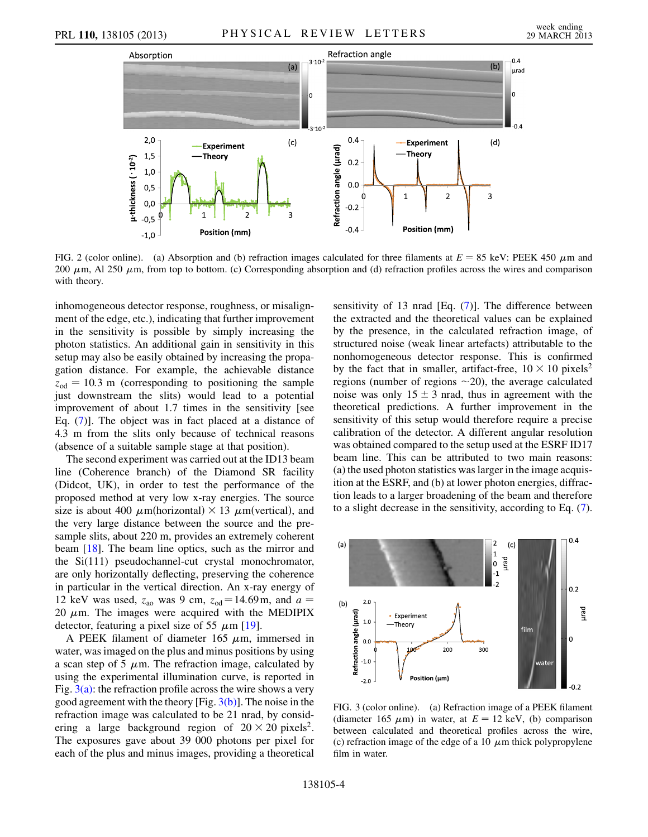

<span id="page-3-0"></span>FIG. 2 (color online). (a) Absorption and (b) refraction images calculated for three filaments at  $E = 85$  keV: PEEK 450  $\mu$ m and 200  $\mu$ m, Al 250  $\mu$ m, from top to bottom. (c) Corresponding absorption and (d) refraction profiles across the wires and comparison with theory.

inhomogeneous detector response, roughness, or misalignment of the edge, etc.), indicating that further improvement in the sensitivity is possible by simply increasing the photon statistics. An additional gain in sensitivity in this setup may also be easily obtained by increasing the propagation distance. For example, the achievable distance  $z_{\text{od}} = 10.3 \text{ m}$  (corresponding to positioning the sample just downstream the slits) would lead to a potential improvement of about 1.7 times in the sensitivity [see Eq. [\(7](#page-2-3))]. The object was in fact placed at a distance of 4.3 m from the slits only because of technical reasons (absence of a suitable sample stage at that position).

The second experiment was carried out at the ID13 beam line (Coherence branch) of the Diamond SR facility (Didcot, UK), in order to test the performance of the proposed method at very low x-ray energies. The source size is about 400  $\mu$ m(horizontal) × 13  $\mu$ m(vertical), and the very large distance between the source and the presample slits, about 220 m, provides an extremely coherent beam [[18](#page-4-17)]. The beam line optics, such as the mirror and the Si(111) pseudochannel-cut crystal monochromator, are only horizontally deflecting, preserving the coherence in particular in the vertical direction. An x-ray energy of 12 keV was used,  $z_{\text{ao}}$  was 9 cm,  $z_{\text{od}} = 14.69 \text{m}$ , and  $a =$ 20  $\mu$ m. The images were acquired with the MEDIPIX detector, featuring a pixel size of 55  $\mu$ m [\[19\]](#page-4-18).

A PEEK filament of diameter 165  $\mu$ m, immersed in water, was imaged on the plus and minus positions by using a scan step of 5  $\mu$ m. The refraction image, calculated by using the experimental illumination curve, is reported in Fig.  $3(a)$ : the refraction profile across the wire shows a very good agreement with the theory  $[Fig. 3(b)]$  $[Fig. 3(b)]$ . The noise in the refraction image was calculated to be 21 nrad, by considering a large background region of  $20 \times 20$  pixels<sup>2</sup>. The exposures gave about 39 000 photons per pixel for each of the plus and minus images, providing a theoretical sensitivity of 13 nrad  $[Eq. (7)]$  $[Eq. (7)]$  $[Eq. (7)]$ . The difference between the extracted and the theoretical values can be explained by the presence, in the calculated refraction image, of structured noise (weak linear artefacts) attributable to the nonhomogeneous detector response. This is confirmed by the fact that in smaller, artifact-free,  $10 \times 10$  pixels<sup>2</sup> regions (number of regions  $\sim$ 20), the average calculated noise was only  $15 \pm 3$  nrad, thus in agreement with the theoretical predictions. A further improvement in the sensitivity of this setup would therefore require a precise calibration of the detector. A different angular resolution was obtained compared to the setup used at the ESRF ID17 beam line. This can be attributed to two main reasons: (a) the used photon statistics was larger in the image acquisition at the ESRF, and (b) at lower photon energies, diffraction leads to a larger broadening of the beam and therefore to a slight decrease in the sensitivity, according to Eq. ([7\)](#page-2-3).



<span id="page-3-1"></span>FIG. 3 (color online). (a) Refraction image of a PEEK filament (diameter 165  $\mu$ m) in water, at  $E = 12$  keV, (b) comparison between calculated and theoretical profiles across the wire, (c) refraction image of the edge of a 10  $\mu$ m thick polypropylene film in water.